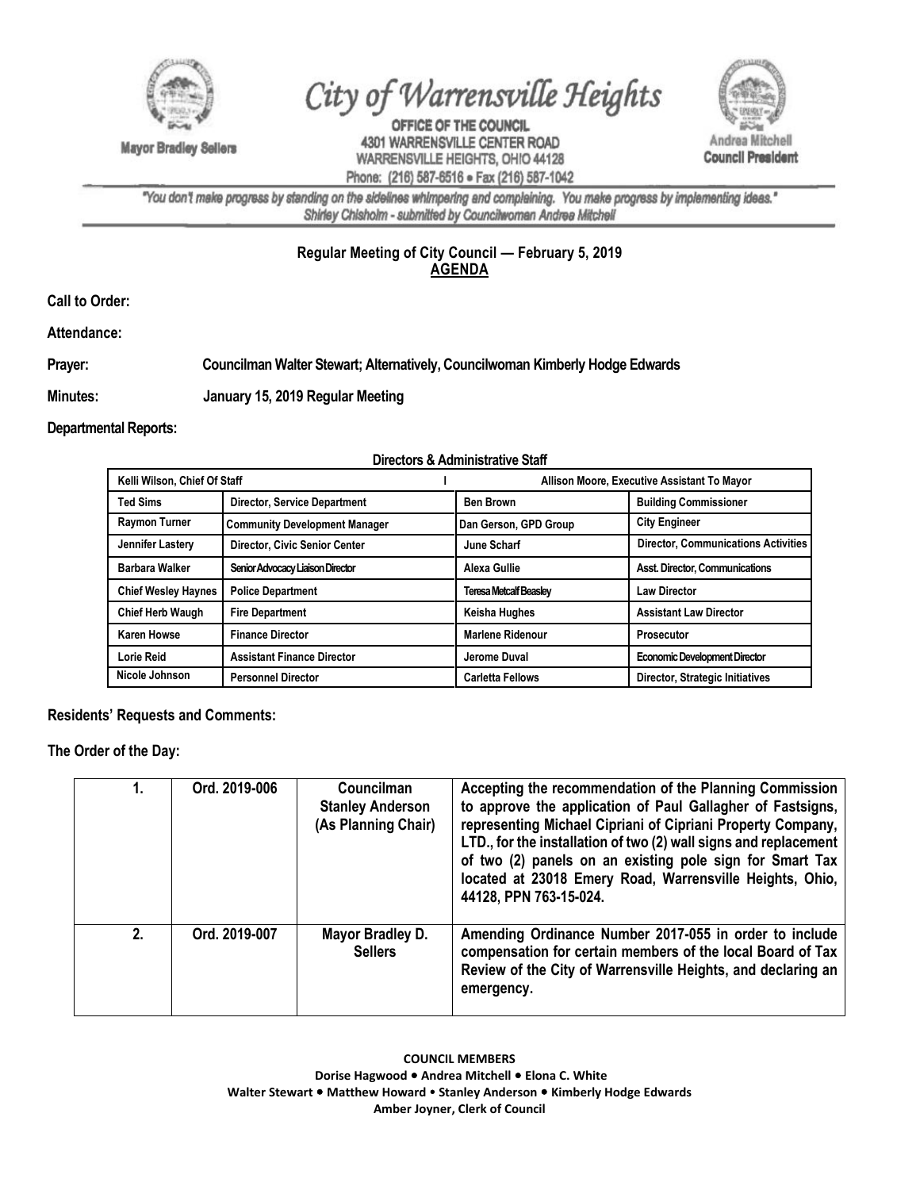

**Mayor Bradley Sellers** 

City of Warrensville Heights

OFFICE OF THE COUNCIL 4301 WARRENSVILLE CENTER ROAD WARRENSVILLE HEIGHTS, OHIO 44128 Phone: (216) 587-6516 · Fax (216) 587-1042



"You don't make progress by standing on the sidelines whimpering and complaining. You make progress by implementing ideas." Shirley Chisholm - submitted by Councilwoman Andrea Mitchell

## **Regular Meeting of City Council — February 5, 2019 AGENDA**

**Call to Order:** 

**Attendance:**

## **Prayer: Councilman Walter Stewart; Alternatively, Councilwoman Kimberly Hodge Edwards**

**Minutes: January 15, 2019 Regular Meeting**

**Departmental Reports:**

## **Directors & Administrative Staff**

| Kelli Wilson, Chief Of Staff |                                      | Allison Moore, Executive Assistant To Mayor |                                            |
|------------------------------|--------------------------------------|---------------------------------------------|--------------------------------------------|
| <b>Ted Sims</b>              | <b>Director, Service Department</b>  | <b>Ben Brown</b>                            | <b>Building Commissioner</b>               |
| <b>Raymon Turner</b>         | <b>Community Development Manager</b> | Dan Gerson, GPD Group                       | <b>City Engineer</b>                       |
| Jennifer Lastery             | Director, Civic Senior Center        | June Scharf                                 | <b>Director, Communications Activities</b> |
| <b>Barbara Walker</b>        | Senior Advocacy Liaison Director     | Alexa Gullie                                | <b>Asst. Director, Communications</b>      |
| <b>Chief Wesley Haynes</b>   | <b>Police Department</b>             | <b>Teresa Metcalf Beasley</b>               | <b>Law Director</b>                        |
| <b>Chief Herb Waugh</b>      | <b>Fire Department</b>               | Keisha Hughes                               | <b>Assistant Law Director</b>              |
| <b>Karen Howse</b>           | <b>Finance Director</b>              | <b>Marlene Ridenour</b>                     | <b>Prosecutor</b>                          |
| Lorie Reid                   | <b>Assistant Finance Director</b>    | Jerome Duval                                | <b>Economic Development Director</b>       |
| Nicole Johnson               | <b>Personnel Director</b>            | <b>Carletta Fellows</b>                     | Director, Strategic Initiatives            |

**Residents' Requests and Comments:** 

**The Order of the Day:**

|    | Ord. 2019-006 | <b>Councilman</b><br><b>Stanley Anderson</b><br>(As Planning Chair) | Accepting the recommendation of the Planning Commission<br>to approve the application of Paul Gallagher of Fastsigns,<br>representing Michael Cipriani of Cipriani Property Company,<br>LTD., for the installation of two (2) wall signs and replacement<br>of two (2) panels on an existing pole sign for Smart Tax<br>located at 23018 Emery Road, Warrensville Heights, Ohio,<br>44128, PPN 763-15-024. |
|----|---------------|---------------------------------------------------------------------|------------------------------------------------------------------------------------------------------------------------------------------------------------------------------------------------------------------------------------------------------------------------------------------------------------------------------------------------------------------------------------------------------------|
| 2. | Ord. 2019-007 | Mayor Bradley D.<br><b>Sellers</b>                                  | Amending Ordinance Number 2017-055 in order to include<br>compensation for certain members of the local Board of Tax<br>Review of the City of Warrensville Heights, and declaring an<br>emergency.                                                                                                                                                                                                         |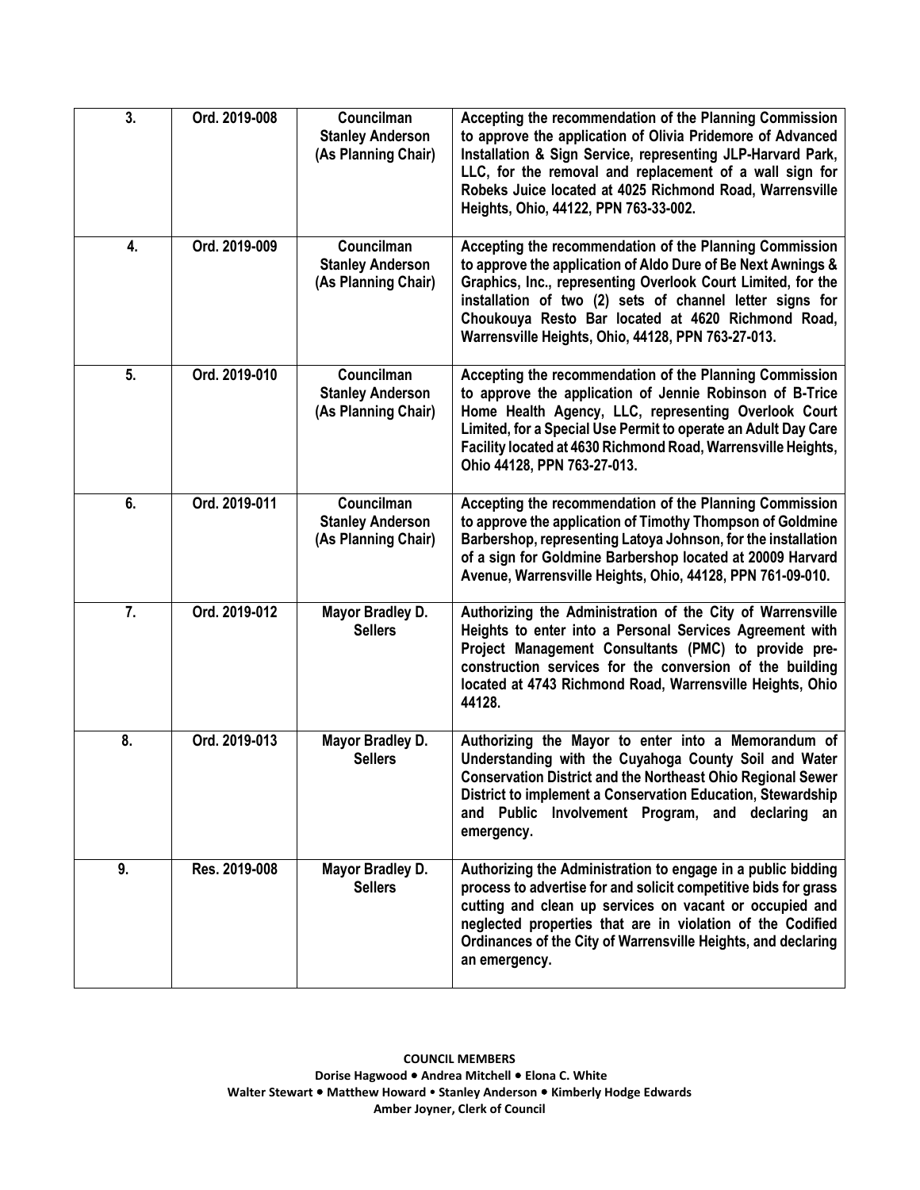| 3.               | Ord. 2019-008 | Councilman<br><b>Stanley Anderson</b><br>(As Planning Chair) | Accepting the recommendation of the Planning Commission<br>to approve the application of Olivia Pridemore of Advanced<br>Installation & Sign Service, representing JLP-Harvard Park,<br>LLC, for the removal and replacement of a wall sign for<br>Robeks Juice located at 4025 Richmond Road, Warrensville<br>Heights, Ohio, 44122, PPN 763-33-002.            |
|------------------|---------------|--------------------------------------------------------------|-----------------------------------------------------------------------------------------------------------------------------------------------------------------------------------------------------------------------------------------------------------------------------------------------------------------------------------------------------------------|
| 4.               | Ord. 2019-009 | Councilman<br><b>Stanley Anderson</b><br>(As Planning Chair) | Accepting the recommendation of the Planning Commission<br>to approve the application of Aldo Dure of Be Next Awnings &<br>Graphics, Inc., representing Overlook Court Limited, for the<br>installation of two (2) sets of channel letter signs for<br>Choukouya Resto Bar located at 4620 Richmond Road,<br>Warrensville Heights, Ohio, 44128, PPN 763-27-013. |
| 5.               | Ord. 2019-010 | Councilman<br><b>Stanley Anderson</b><br>(As Planning Chair) | Accepting the recommendation of the Planning Commission<br>to approve the application of Jennie Robinson of B-Trice<br>Home Health Agency, LLC, representing Overlook Court<br>Limited, for a Special Use Permit to operate an Adult Day Care<br>Facility located at 4630 Richmond Road, Warrensville Heights,<br>Ohio 44128, PPN 763-27-013.                   |
| 6.               | Ord. 2019-011 | Councilman<br><b>Stanley Anderson</b><br>(As Planning Chair) | Accepting the recommendation of the Planning Commission<br>to approve the application of Timothy Thompson of Goldmine<br>Barbershop, representing Latoya Johnson, for the installation<br>of a sign for Goldmine Barbershop located at 20009 Harvard<br>Avenue, Warrensville Heights, Ohio, 44128, PPN 761-09-010.                                              |
| $\overline{7}$ . | Ord. 2019-012 | Mayor Bradley D.<br><b>Sellers</b>                           | Authorizing the Administration of the City of Warrensville<br>Heights to enter into a Personal Services Agreement with<br>Project Management Consultants (PMC) to provide pre-<br>construction services for the conversion of the building<br>located at 4743 Richmond Road, Warrensville Heights, Ohio<br>44128.                                               |
| 8.               | Ord. 2019-013 | Mayor Bradley D.<br><b>Sellers</b>                           | Authorizing the Mayor to enter into a Memorandum of<br>Understanding with the Cuyahoga County Soil and Water<br><b>Conservation District and the Northeast Ohio Regional Sewer</b><br>District to implement a Conservation Education, Stewardship<br>and Public Involvement Program, and declaring an<br>emergency.                                             |
| 9.               | Res. 2019-008 | Mayor Bradley D.<br><b>Sellers</b>                           | Authorizing the Administration to engage in a public bidding<br>process to advertise for and solicit competitive bids for grass<br>cutting and clean up services on vacant or occupied and<br>neglected properties that are in violation of the Codified<br>Ordinances of the City of Warrensville Heights, and declaring<br>an emergency.                      |